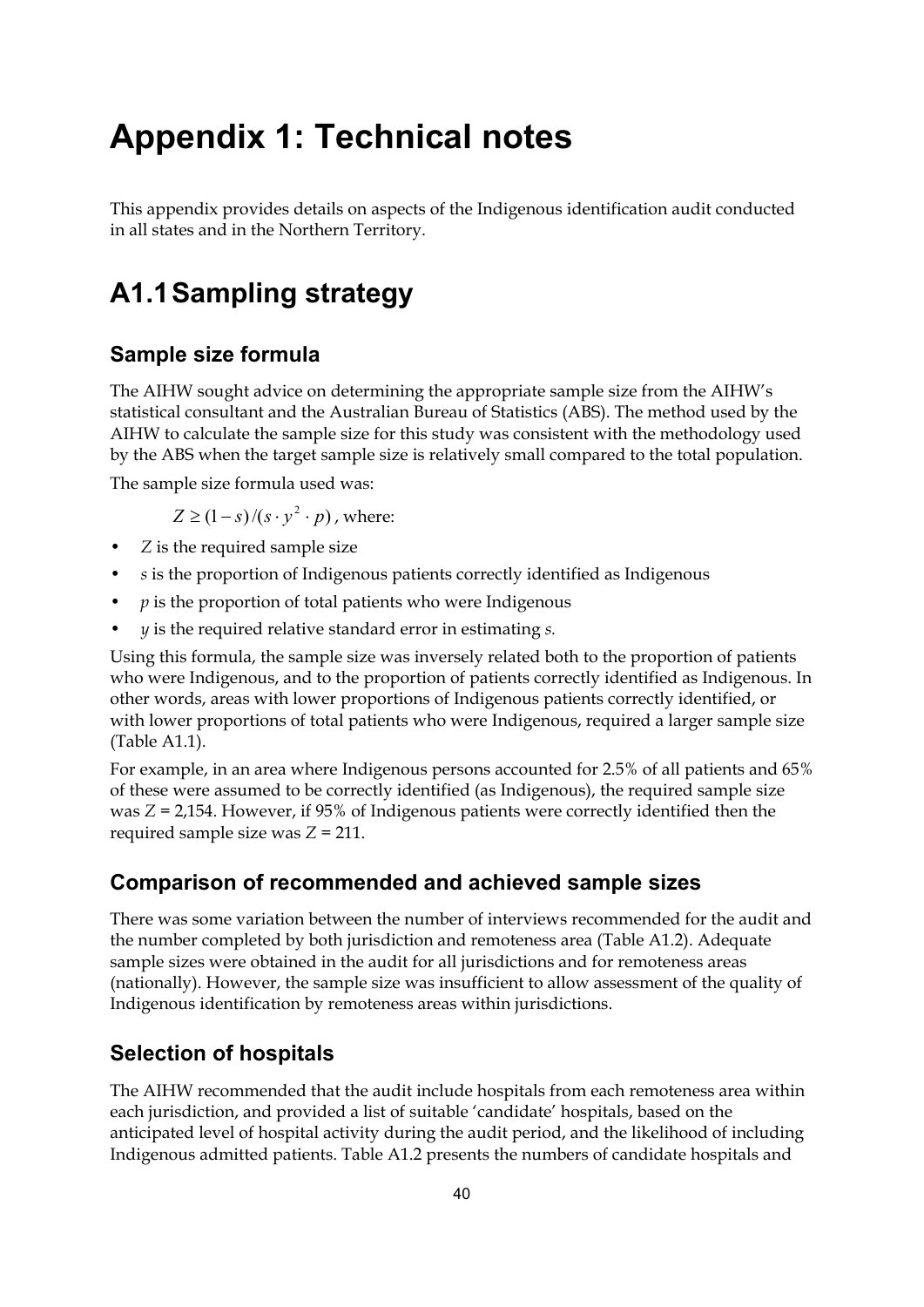# **Appendix 1: Technical notes**

This appendix provides details on aspects of the Indigenous identification audit conducted in all states and in the Northern Territory.

## **A1.1 Sampling strategy**

### **Sample size formula**

The AIHW sought advice on determining the appropriate sample size from the AIHW's statistical consultant and the Australian Bureau of Statistics (ABS). The method used by the AIHW to calculate the sample size for this study was consistent with the methodology used by the ABS when the target sample size is relatively small compared to the total population.

The sample size formula used was:

$$
Z \ge (1 - s)/(s \cdot y^2 \cdot p)
$$
, where:

- *Z* is the required sample size
- *s* is the proportion of Indigenous patients correctly identified as Indigenous
- $p$  is the proportion of total patients who were Indigenous
- *y* is the required relative standard error in estimating *s.*

Using this formula, the sample size was inversely related both to the proportion of patients who were Indigenous, and to the proportion of patients correctly identified as Indigenous. In other words, areas with lower proportions of Indigenous patients correctly identified, or with lower proportions of total patients who were Indigenous, required a larger sample size (Table A1.1).

For example, in an area where Indigenous persons accounted for 2.5% of all patients and 65% of these were assumed to be correctly identified (as Indigenous), the required sample size was *Z* = 2,154. However, if 95% of Indigenous patients were correctly identified then the required sample size was *Z* = 211.

#### **Comparison of recommended and achieved sample sizes**

There was some variation between the number of interviews recommended for the audit and the number completed by both jurisdiction and remoteness area (Table A1.2). Adequate sample sizes were obtained in the audit for all jurisdictions and for remoteness areas (nationally). However, the sample size was insufficient to allow assessment of the quality of Indigenous identification by remoteness areas within jurisdictions.

#### **Selection of hospitals**

The AIHW recommended that the audit include hospitals from each remoteness area within each jurisdiction, and provided a list of suitable 'candidate' hospitals, based on the anticipated level of hospital activity during the audit period, and the likelihood of including Indigenous admitted patients. Table A1.2 presents the numbers of candidate hospitals and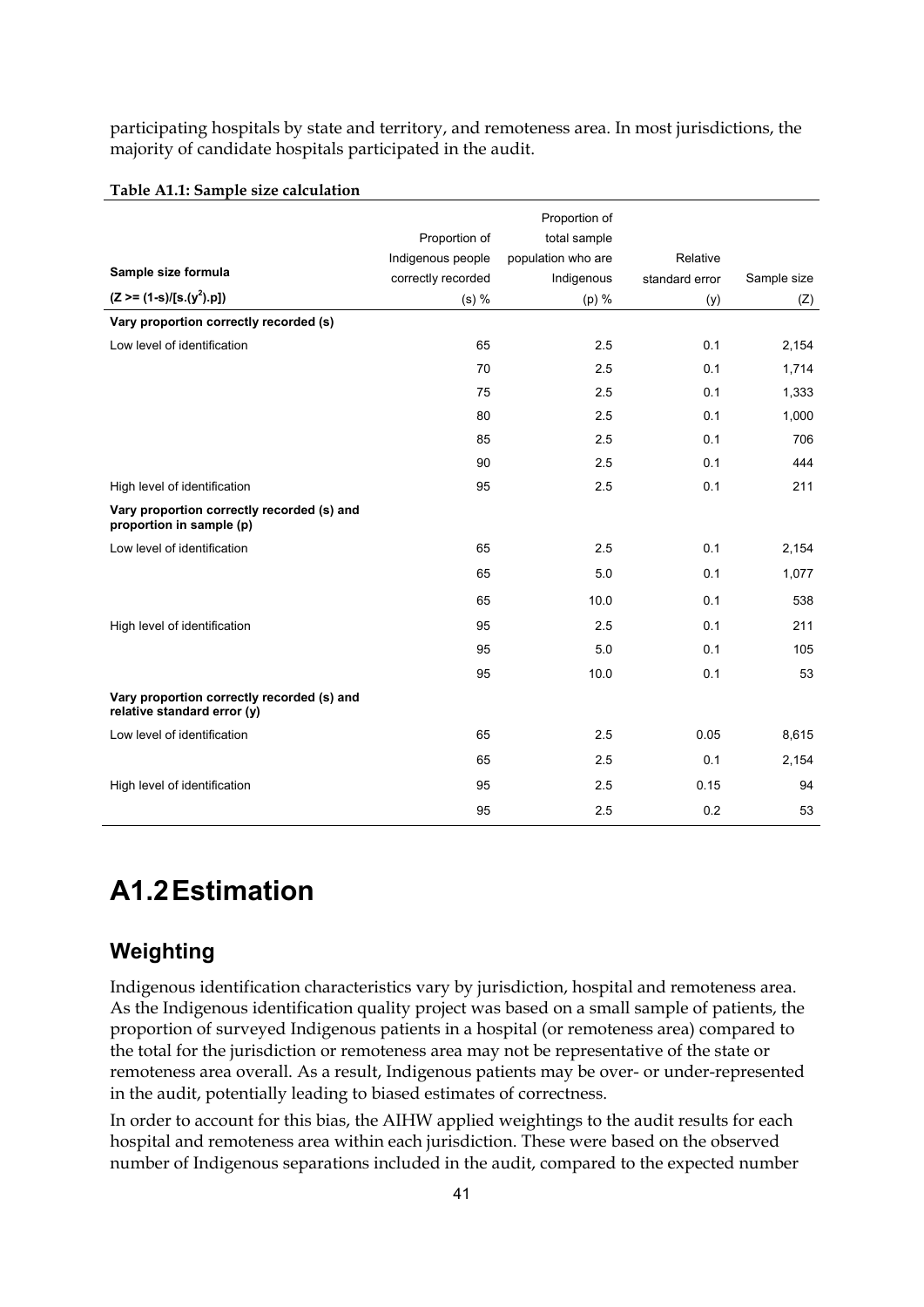participating hospitals by state and territory, and remoteness area. In most jurisdictions, the majority of candidate hospitals participated in the audit.

|                                                                           |                    | Proportion of      |                |             |
|---------------------------------------------------------------------------|--------------------|--------------------|----------------|-------------|
|                                                                           | Proportion of      | total sample       |                |             |
|                                                                           | Indigenous people  | population who are | Relative       |             |
| Sample size formula                                                       | correctly recorded | Indigenous         | standard error | Sample size |
| $(Z \geq (1-s)/[s.(y^2).p])$                                              | $(s)$ %            | (p) %              | (y)            | (Z)         |
| Vary proportion correctly recorded (s)                                    |                    |                    |                |             |
| Low level of identification                                               | 65                 | 2.5                | 0.1            | 2,154       |
|                                                                           | 70                 | 2.5                | 0.1            | 1,714       |
|                                                                           | 75                 | 2.5                | 0.1            | 1,333       |
|                                                                           | 80                 | 2.5                | 0.1            | 1,000       |
|                                                                           | 85                 | 2.5                | 0.1            | 706         |
|                                                                           | 90                 | 2.5                | 0.1            | 444         |
| High level of identification                                              | 95                 | 2.5                | 0.1            | 211         |
| Vary proportion correctly recorded (s) and<br>proportion in sample (p)    |                    |                    |                |             |
| Low level of identification                                               | 65                 | 2.5                | 0.1            | 2,154       |
|                                                                           | 65                 | 5.0                | 0.1            | 1,077       |
|                                                                           | 65                 | 10.0               | 0.1            | 538         |
| High level of identification                                              | 95                 | 2.5                | 0.1            | 211         |
|                                                                           | 95                 | 5.0                | 0.1            | 105         |
|                                                                           | 95                 | 10.0               | 0.1            | 53          |
| Vary proportion correctly recorded (s) and<br>relative standard error (y) |                    |                    |                |             |
| Low level of identification                                               | 65                 | 2.5                | 0.05           | 8,615       |
|                                                                           | 65                 | 2.5                | 0.1            | 2,154       |
| High level of identification                                              | 95                 | 2.5                | 0.15           | 94          |
|                                                                           | 95                 | 2.5                | 0.2            | 53          |

#### **Table A1.1: Sample size calculation**

## **A1.2 Estimation**

### **Weighting**

Indigenous identification characteristics vary by jurisdiction, hospital and remoteness area. As the Indigenous identification quality project was based on a small sample of patients, the proportion of surveyed Indigenous patients in a hospital (or remoteness area) compared to the total for the jurisdiction or remoteness area may not be representative of the state or remoteness area overall. As a result, Indigenous patients may be over- or under-represented in the audit, potentially leading to biased estimates of correctness.

In order to account for this bias, the AIHW applied weightings to the audit results for each hospital and remoteness area within each jurisdiction. These were based on the observed number of Indigenous separations included in the audit, compared to the expected number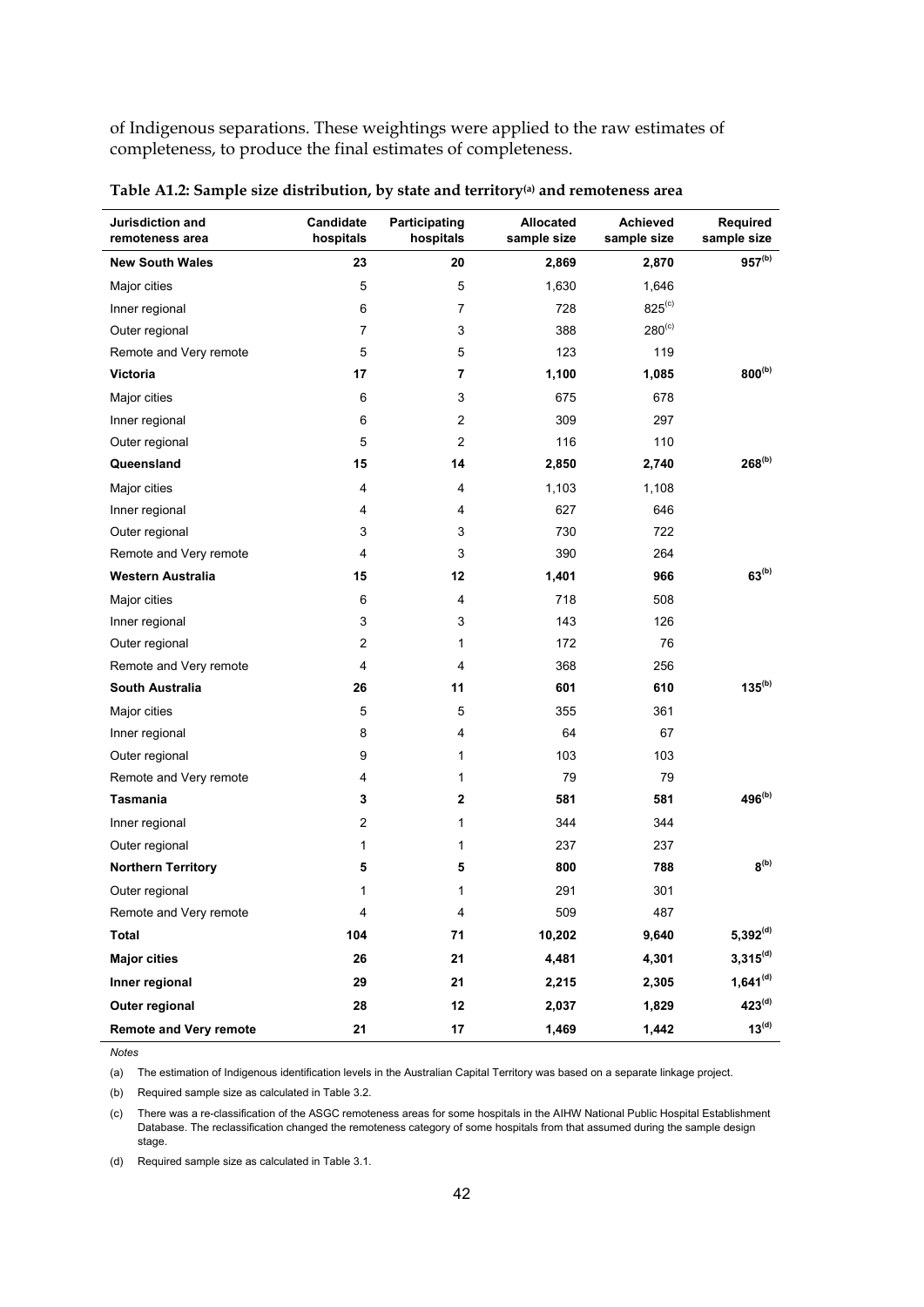of Indigenous separations. These weightings were applied to the raw estimates of completeness, to produce the final estimates of completeness.

| Jurisdiction and<br>remoteness area | Candidate<br>hospitals | Participating<br>hospitals | <b>Allocated</b><br>sample size | Achieved<br>sample size | Required<br>sample size     |
|-------------------------------------|------------------------|----------------------------|---------------------------------|-------------------------|-----------------------------|
| <b>New South Wales</b>              | 23                     | 20                         | 2,869                           | 2,870                   | $957^{(b)}$                 |
| Major cities                        | 5                      | 5                          | 1,630                           | 1,646                   |                             |
| Inner regional                      | 6                      | 7                          | 728                             | $825^{(c)}$             |                             |
| Outer regional                      | 7                      | 3                          | 388                             | $280^{(c)}$             |                             |
| Remote and Very remote              | 5                      | 5                          | 123                             | 119                     |                             |
| Victoria                            | 17                     | 7                          | 1,100                           | 1,085                   | $800^{(b)}$                 |
| Major cities                        | 6                      | 3                          | 675                             | 678                     |                             |
| Inner regional                      | 6                      | 2                          | 309                             | 297                     |                             |
| Outer regional                      | 5                      | $\overline{2}$             | 116                             | 110                     |                             |
| Queensland                          | 15                     | 14                         | 2,850                           | 2,740                   | $268^{(b)}$                 |
| Major cities                        | 4                      | 4                          | 1,103                           | 1,108                   |                             |
| Inner regional                      | 4                      | 4                          | 627                             | 646                     |                             |
| Outer regional                      | 3                      | 3                          | 730                             | 722                     |                             |
| Remote and Very remote              | 4                      | 3                          | 390                             | 264                     |                             |
| Western Australia                   | 15                     | 12                         | 1,401                           | 966                     | $63^{(b)}$                  |
| Major cities                        | 6                      | 4                          | 718                             | 508                     |                             |
| Inner regional                      | 3                      | 3                          | 143                             | 126                     |                             |
| Outer regional                      | $\overline{c}$         | 1                          | 172                             | 76                      |                             |
| Remote and Very remote              | 4                      | 4                          | 368                             | 256                     |                             |
| South Australia                     | 26                     | 11                         | 601                             | 610                     | $135^{(b)}$                 |
| Major cities                        | 5                      | 5                          | 355                             | 361                     |                             |
| Inner regional                      | 8                      | 4                          | 64                              | 67                      |                             |
| Outer regional                      | 9                      | 1                          | 103                             | 103                     |                             |
| Remote and Very remote              | 4                      | $\mathbf{1}$               | 79                              | 79                      |                             |
| Tasmania                            | 3                      | 2                          | 581                             | 581                     | $496^{(b)}$                 |
| Inner regional                      | 2                      | 1                          | 344                             | 344                     |                             |
| Outer regional                      | 1                      | 1                          | 237                             | 237                     |                             |
| <b>Northern Territory</b>           | 5                      | 5                          | 800                             | 788                     | $\mathbf{8}^{\mathrm{(b)}}$ |
| Outer regional                      | 1                      | 1                          | 291                             | 301                     |                             |
| Remote and Very remote              | 4                      | $\overline{\mathbf{4}}$    | 509                             | 487                     |                             |
| <b>Total</b>                        | 104                    | 71                         | 10,202                          | 9,640                   | $5,392^{(d)}$               |
| <b>Major cities</b>                 | 26                     | 21                         | 4,481                           | 4,301                   | $3,315^{(d)}$               |
| Inner regional                      | 29                     | 21                         | 2,215                           | 2,305                   | $1,641^{(d)}$               |
| Outer regional                      | 28                     | 12                         | 2,037                           | 1,829                   | $423^{(d)}$                 |
| <b>Remote and Very remote</b>       | 21                     | 17                         | 1,469                           | 1,442                   | $13^{(d)}$                  |

**Table A1.2: Sample size distribution, by state and territory(a) and remoteness area** 

(a) The estimation of Indigenous identification levels in the Australian Capital Territory was based on a separate linkage project.

(b) Required sample size as calculated in Table 3.2.

(c) There was a re-classification of the ASGC remoteness areas for some hospitals in the AIHW National Public Hospital Establishment Database. The reclassification changed the remoteness category of some hospitals from that assumed during the sample design stage.

(d) Required sample size as calculated in Table 3.1.

*Notes*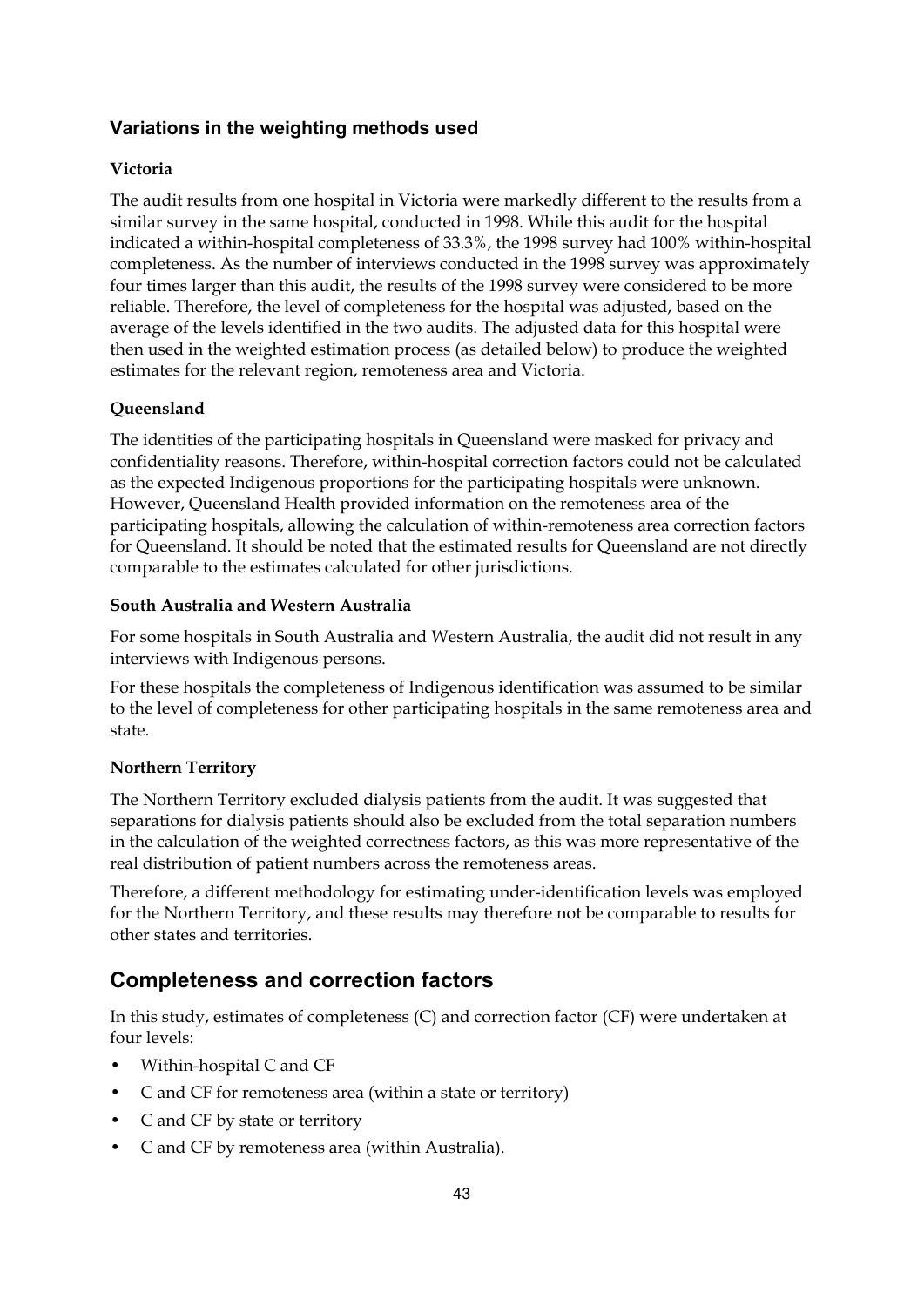#### **Variations in the weighting methods used**

#### **Victoria**

The audit results from one hospital in Victoria were markedly different to the results from a similar survey in the same hospital, conducted in 1998. While this audit for the hospital indicated a within-hospital completeness of 33.3%, the 1998 survey had 100% within-hospital completeness. As the number of interviews conducted in the 1998 survey was approximately four times larger than this audit, the results of the 1998 survey were considered to be more reliable. Therefore, the level of completeness for the hospital was adjusted, based on the average of the levels identified in the two audits. The adjusted data for this hospital were then used in the weighted estimation process (as detailed below) to produce the weighted estimates for the relevant region, remoteness area and Victoria.

#### **Queensland**

The identities of the participating hospitals in Queensland were masked for privacy and confidentiality reasons. Therefore, within-hospital correction factors could not be calculated as the expected Indigenous proportions for the participating hospitals were unknown. However, Queensland Health provided information on the remoteness area of the participating hospitals, allowing the calculation of within-remoteness area correction factors for Queensland. It should be noted that the estimated results for Queensland are not directly comparable to the estimates calculated for other jurisdictions.

#### **South Australia and Western Australia**

For some hospitals in South Australia and Western Australia, the audit did not result in any interviews with Indigenous persons.

For these hospitals the completeness of Indigenous identification was assumed to be similar to the level of completeness for other participating hospitals in the same remoteness area and state.

#### **Northern Territory**

The Northern Territory excluded dialysis patients from the audit. It was suggested that separations for dialysis patients should also be excluded from the total separation numbers in the calculation of the weighted correctness factors, as this was more representative of the real distribution of patient numbers across the remoteness areas.

Therefore, a different methodology for estimating under-identification levels was employed for the Northern Territory, and these results may therefore not be comparable to results for other states and territories.

## **Completeness and correction factors**

In this study, estimates of completeness (C) and correction factor (CF) were undertaken at four levels:

- Within-hospital C and CF
- C and CF for remoteness area (within a state or territory)
- C and CF by state or territory
- C and CF by remoteness area (within Australia).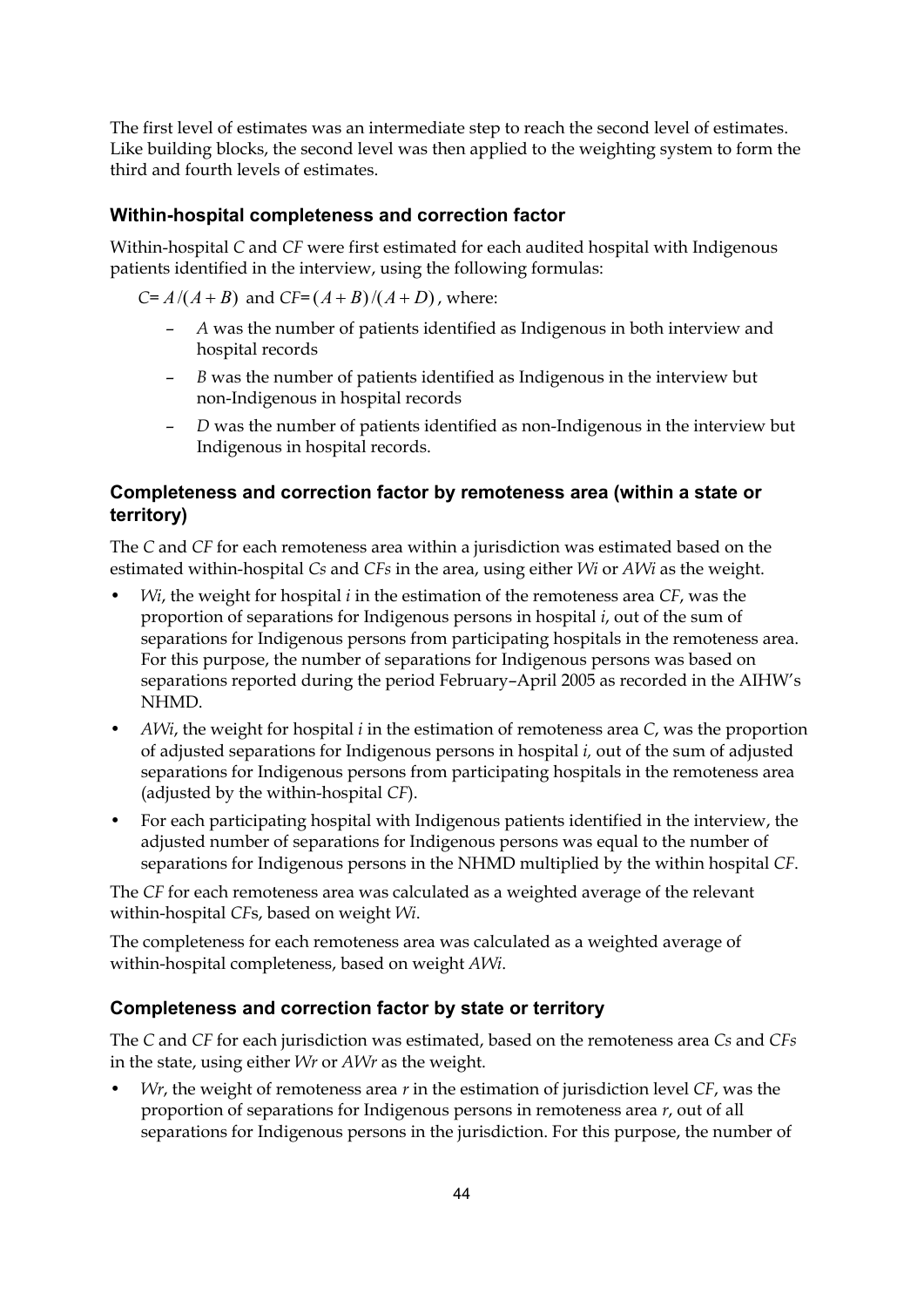The first level of estimates was an intermediate step to reach the second level of estimates. Like building blocks, the second level was then applied to the weighting system to form the third and fourth levels of estimates.

#### **Within-hospital completeness and correction factor**

Within-hospital *C* and *CF* were first estimated for each audited hospital with Indigenous patients identified in the interview, using the following formulas:

*C*=  $A/(A+B)$  and *CF*= $(A+B)/(A+D)$ , where:

- *A* was the number of patients identified as Indigenous in both interview and hospital records
- *B* was the number of patients identified as Indigenous in the interview but non-Indigenous in hospital records
- *D* was the number of patients identified as non-Indigenous in the interview but Indigenous in hospital records.

#### **Completeness and correction factor by remoteness area (within a state or territory)**

The *C* and *CF* for each remoteness area within a jurisdiction was estimated based on the estimated within-hospital *Cs* and *CFs* in the area, using either *Wi* or *AWi* as the weight.

- *Wi*, the weight for hospital *i* in the estimation of the remoteness area *CF*, was the proportion of separations for Indigenous persons in hospital *i*, out of the sum of separations for Indigenous persons from participating hospitals in the remoteness area. For this purpose, the number of separations for Indigenous persons was based on separations reported during the period February–April 2005 as recorded in the AIHW's NHMD.
- *AWi*, the weight for hospital *i* in the estimation of remoteness area *C*, was the proportion of adjusted separations for Indigenous persons in hospital *i,* out of the sum of adjusted separations for Indigenous persons from participating hospitals in the remoteness area (adjusted by the within-hospital *CF*).
- For each participating hospital with Indigenous patients identified in the interview, the adjusted number of separations for Indigenous persons was equal to the number of separations for Indigenous persons in the NHMD multiplied by the within hospital *CF*.

The *CF* for each remoteness area was calculated as a weighted average of the relevant within-hospital *CF*s, based on weight *Wi*.

The completeness for each remoteness area was calculated as a weighted average of within-hospital completeness, based on weight *AWi*.

#### **Completeness and correction factor by state or territory**

The *C* and *CF* for each jurisdiction was estimated, based on the remoteness area *Cs* and *CFs* in the state, using either *Wr* or *AWr* as the weight.

• *Wr*, the weight of remoteness area *r* in the estimation of jurisdiction level *CF*, was the proportion of separations for Indigenous persons in remoteness area *r*, out of all separations for Indigenous persons in the jurisdiction. For this purpose, the number of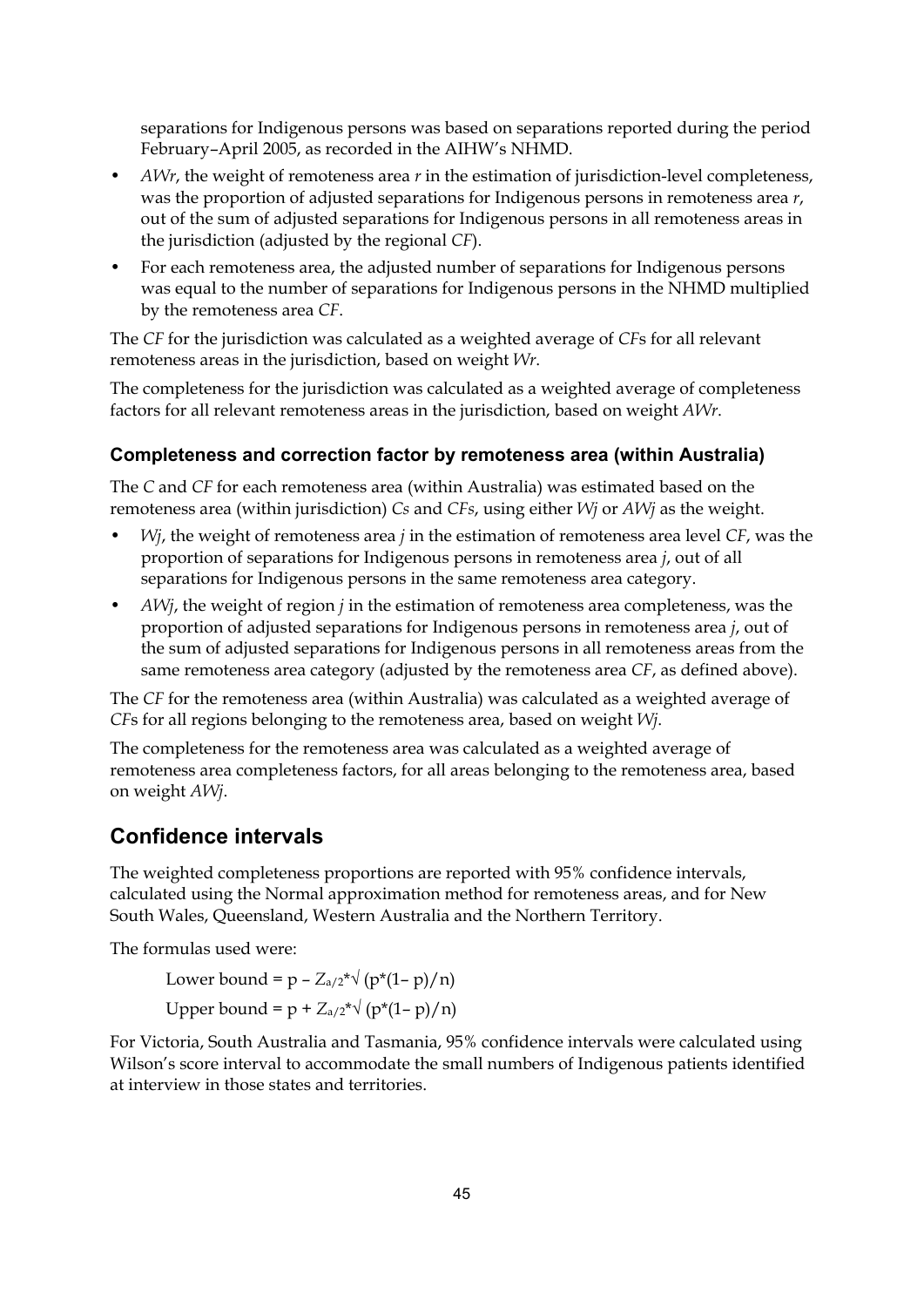separations for Indigenous persons was based on separations reported during the period February–April 2005, as recorded in the AIHW's NHMD.

- *AWr*, the weight of remoteness area *r* in the estimation of jurisdiction-level completeness, was the proportion of adjusted separations for Indigenous persons in remoteness area *r*, out of the sum of adjusted separations for Indigenous persons in all remoteness areas in the jurisdiction (adjusted by the regional *CF*).
- For each remoteness area, the adjusted number of separations for Indigenous persons was equal to the number of separations for Indigenous persons in the NHMD multiplied by the remoteness area *CF*.

The *CF* for the jurisdiction was calculated as a weighted average of *CF*s for all relevant remoteness areas in the jurisdiction, based on weight *Wr*.

The completeness for the jurisdiction was calculated as a weighted average of completeness factors for all relevant remoteness areas in the jurisdiction, based on weight *AWr*.

#### **Completeness and correction factor by remoteness area (within Australia)**

The *C* and *CF* for each remoteness area (within Australia) was estimated based on the remoteness area (within jurisdiction) *Cs* and *CFs*, using either *Wj* or *AWj* as the weight.

- *Wj*, the weight of remoteness area *j* in the estimation of remoteness area level *CF*, was the proportion of separations for Indigenous persons in remoteness area *j*, out of all separations for Indigenous persons in the same remoteness area category.
- *AWj*, the weight of region *j* in the estimation of remoteness area completeness, was the proportion of adjusted separations for Indigenous persons in remoteness area *j*, out of the sum of adjusted separations for Indigenous persons in all remoteness areas from the same remoteness area category (adjusted by the remoteness area *CF*, as defined above).

The *CF* for the remoteness area (within Australia) was calculated as a weighted average of *CF*s for all regions belonging to the remoteness area, based on weight *Wj*.

The completeness for the remoteness area was calculated as a weighted average of remoteness area completeness factors, for all areas belonging to the remoteness area, based on weight *AWj*.

#### **Confidence intervals**

The weighted completeness proportions are reported with 95% confidence intervals, calculated using the Normal approximation method for remoteness areas, and for New South Wales, Queensland, Western Australia and the Northern Territory.

The formulas used were:

Lower bound =  $p - Z_{a/2}^* \sqrt{(p^*(1-p)/n)}$ Upper bound =  $p + Z_{a/2}^* \sqrt{(p^*(1-p)/n)}$ 

For Victoria, South Australia and Tasmania, 95% confidence intervals were calculated using Wilson's score interval to accommodate the small numbers of Indigenous patients identified at interview in those states and territories.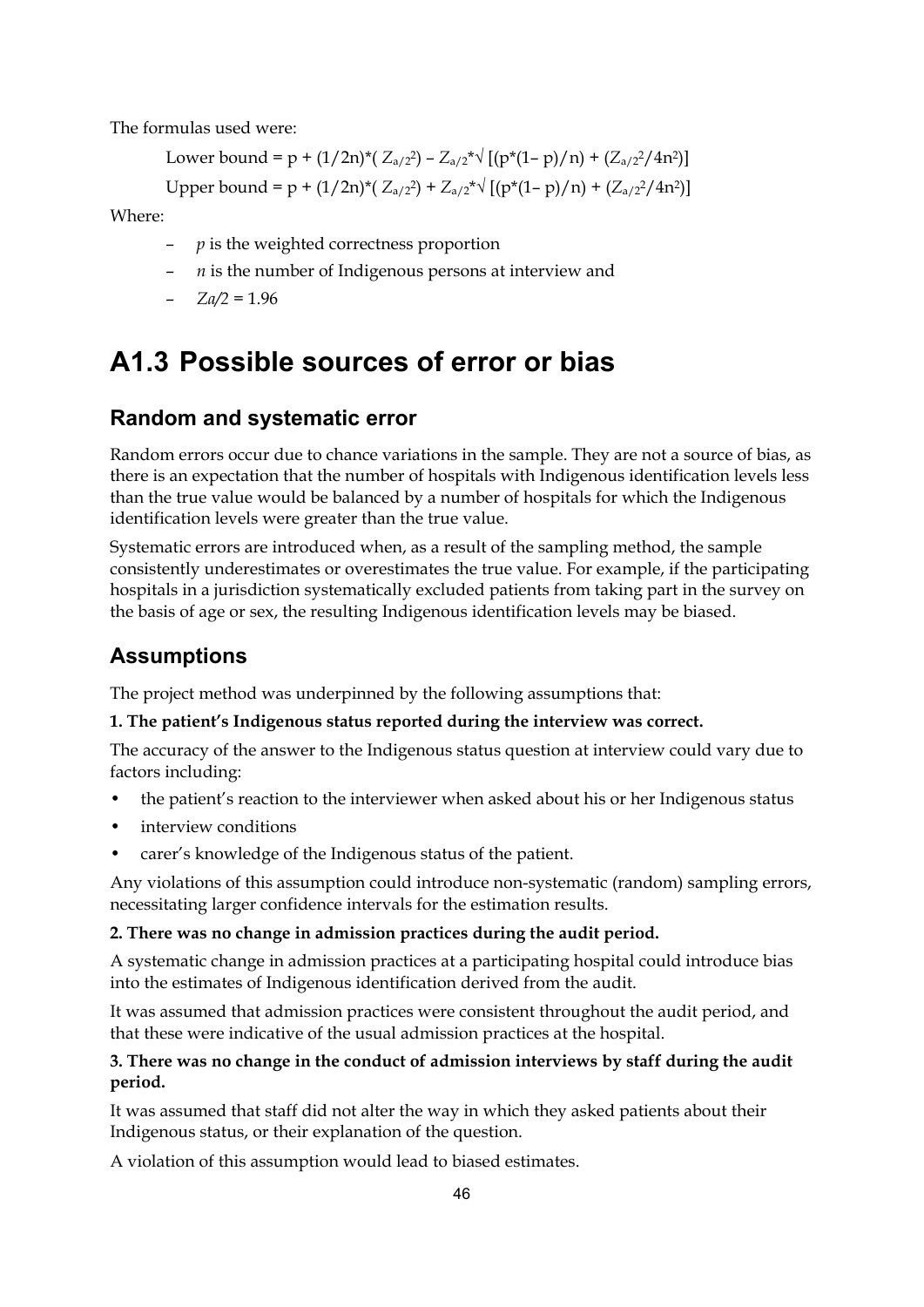The formulas used were:

Lower bound = 
$$
p + (1/2n)^*( Z_{a/2}^2) - Z_{a/2}^* \sqrt{[(p^*(1-p)/n) + (Z_{a/2}^2/4n^2)]}
$$

Upper bound = p +  $(1/2n)^*(Z_{a/2}) + Z_{a/2}^* \sqrt{[(p^*(1-p)/n) + (Z_{a/2}^2/4n^2)]}$ 

Where:

- *p* is the weighted correctness proportion
- *n* is the number of Indigenous persons at interview and
- $-Za/2 = 1.96$

## **A1.3 Possible sources of error or bias**

### **Random and systematic error**

Random errors occur due to chance variations in the sample. They are not a source of bias, as there is an expectation that the number of hospitals with Indigenous identification levels less than the true value would be balanced by a number of hospitals for which the Indigenous identification levels were greater than the true value.

Systematic errors are introduced when, as a result of the sampling method, the sample consistently underestimates or overestimates the true value. For example, if the participating hospitals in a jurisdiction systematically excluded patients from taking part in the survey on the basis of age or sex, the resulting Indigenous identification levels may be biased.

## **Assumptions**

The project method was underpinned by the following assumptions that:

#### **1. The patient's Indigenous status reported during the interview was correct.**

The accuracy of the answer to the Indigenous status question at interview could vary due to factors including:

- the patient's reaction to the interviewer when asked about his or her Indigenous status
- interview conditions
- carer's knowledge of the Indigenous status of the patient.

Any violations of this assumption could introduce non-systematic (random) sampling errors, necessitating larger confidence intervals for the estimation results.

#### **2. There was no change in admission practices during the audit period.**

A systematic change in admission practices at a participating hospital could introduce bias into the estimates of Indigenous identification derived from the audit.

It was assumed that admission practices were consistent throughout the audit period, and that these were indicative of the usual admission practices at the hospital.

#### **3. There was no change in the conduct of admission interviews by staff during the audit period.**

It was assumed that staff did not alter the way in which they asked patients about their Indigenous status, or their explanation of the question.

A violation of this assumption would lead to biased estimates.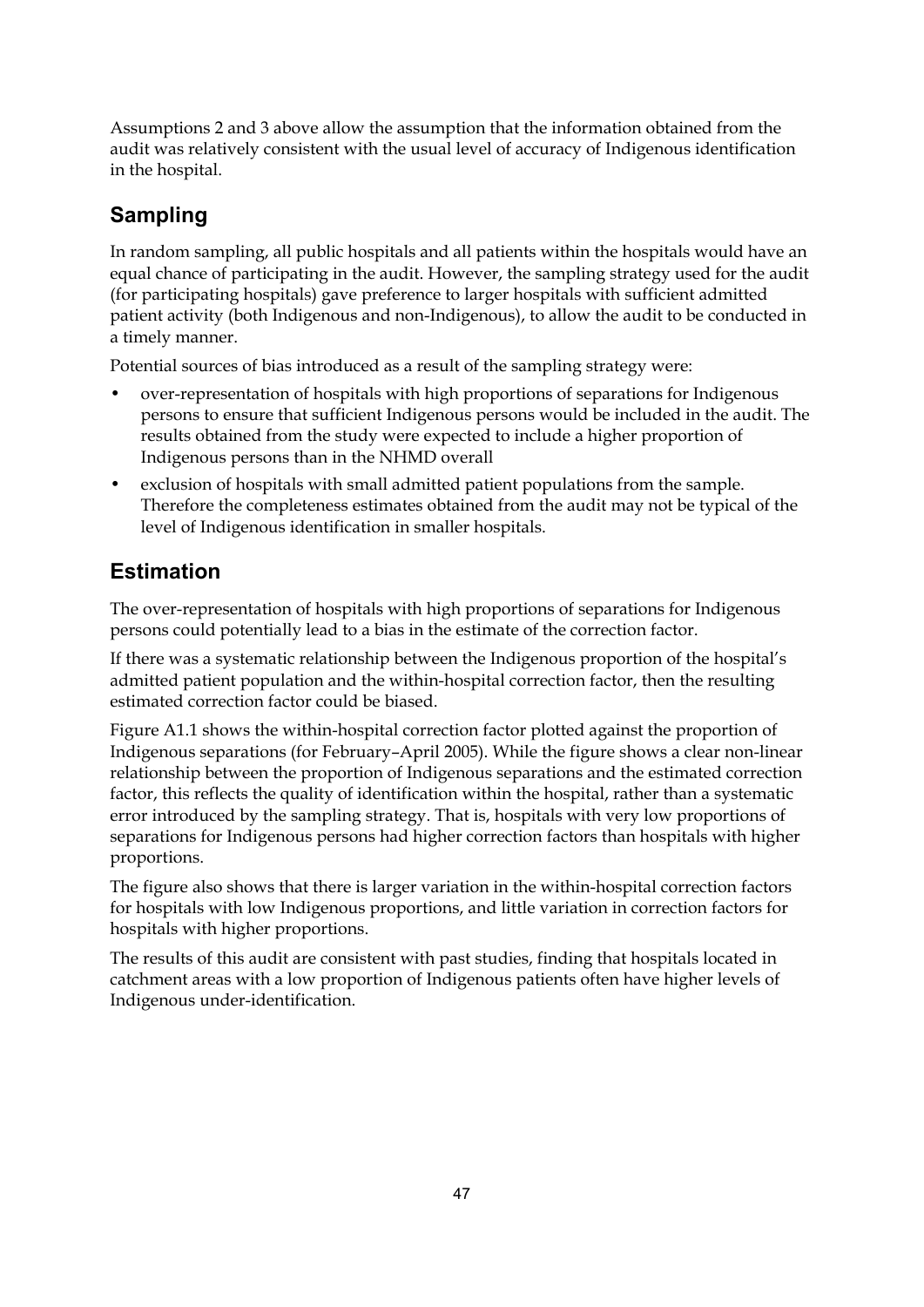Assumptions 2 and 3 above allow the assumption that the information obtained from the audit was relatively consistent with the usual level of accuracy of Indigenous identification in the hospital.

## **Sampling**

In random sampling, all public hospitals and all patients within the hospitals would have an equal chance of participating in the audit. However, the sampling strategy used for the audit (for participating hospitals) gave preference to larger hospitals with sufficient admitted patient activity (both Indigenous and non-Indigenous), to allow the audit to be conducted in a timely manner.

Potential sources of bias introduced as a result of the sampling strategy were:

- over-representation of hospitals with high proportions of separations for Indigenous persons to ensure that sufficient Indigenous persons would be included in the audit. The results obtained from the study were expected to include a higher proportion of Indigenous persons than in the NHMD overall
- exclusion of hospitals with small admitted patient populations from the sample. Therefore the completeness estimates obtained from the audit may not be typical of the level of Indigenous identification in smaller hospitals.

## **Estimation**

The over-representation of hospitals with high proportions of separations for Indigenous persons could potentially lead to a bias in the estimate of the correction factor.

If there was a systematic relationship between the Indigenous proportion of the hospital's admitted patient population and the within-hospital correction factor, then the resulting estimated correction factor could be biased.

Figure A1.1 shows the within-hospital correction factor plotted against the proportion of Indigenous separations (for February–April 2005). While the figure shows a clear non-linear relationship between the proportion of Indigenous separations and the estimated correction factor, this reflects the quality of identification within the hospital, rather than a systematic error introduced by the sampling strategy. That is, hospitals with very low proportions of separations for Indigenous persons had higher correction factors than hospitals with higher proportions.

The figure also shows that there is larger variation in the within-hospital correction factors for hospitals with low Indigenous proportions, and little variation in correction factors for hospitals with higher proportions.

The results of this audit are consistent with past studies, finding that hospitals located in catchment areas with a low proportion of Indigenous patients often have higher levels of Indigenous under-identification.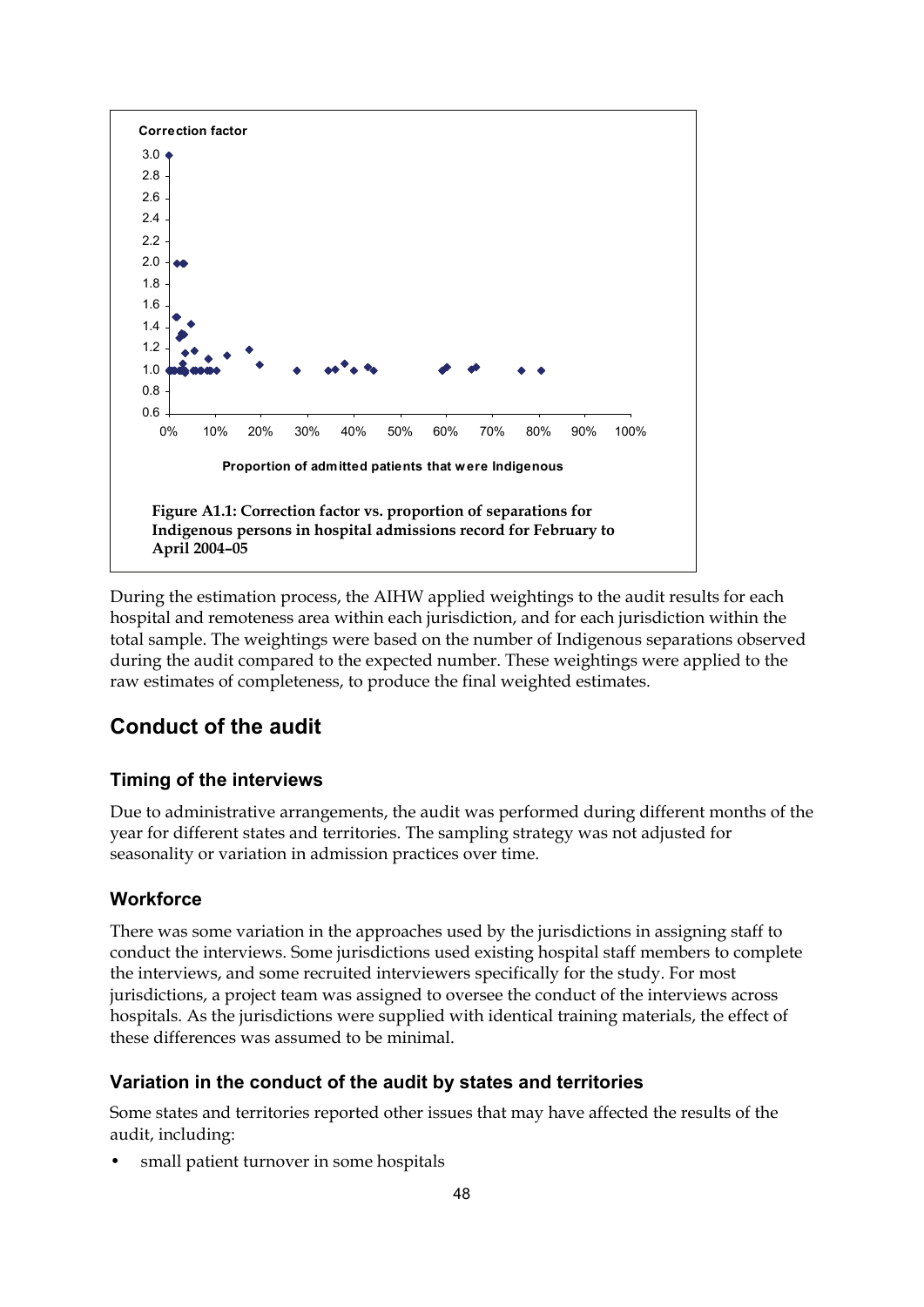

During the estimation process, the AIHW applied weightings to the audit results for each hospital and remoteness area within each jurisdiction, and for each jurisdiction within the total sample. The weightings were based on the number of Indigenous separations observed during the audit compared to the expected number. These weightings were applied to the raw estimates of completeness, to produce the final weighted estimates.

## **Conduct of the audit**

#### **Timing of the interviews**

Due to administrative arrangements, the audit was performed during different months of the year for different states and territories. The sampling strategy was not adjusted for seasonality or variation in admission practices over time.

#### **Workforce**

There was some variation in the approaches used by the jurisdictions in assigning staff to conduct the interviews. Some jurisdictions used existing hospital staff members to complete the interviews, and some recruited interviewers specifically for the study. For most jurisdictions, a project team was assigned to oversee the conduct of the interviews across hospitals. As the jurisdictions were supplied with identical training materials, the effect of these differences was assumed to be minimal.

#### **Variation in the conduct of the audit by states and territories**

Some states and territories reported other issues that may have affected the results of the audit, including:

small patient turnover in some hospitals